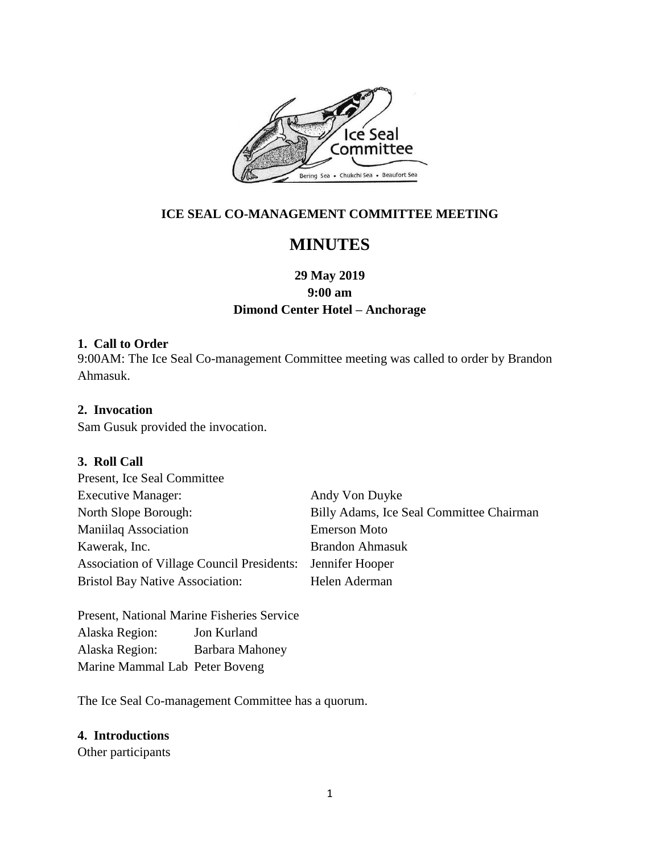

# **ICE SEAL CO-MANAGEMENT COMMITTEE MEETING**

# **MINUTES**

# **29 May 2019 9:00 am Dimond Center Hotel – Anchorage**

## **1. Call to Order**

9:00AM: The Ice Seal Co-management Committee meeting was called to order by Brandon Ahmasuk.

# **2. Invocation**

Sam Gusuk provided the invocation.

## **3. Roll Call**

| Present, Ice Seal Committee                                |                                          |
|------------------------------------------------------------|------------------------------------------|
| <b>Executive Manager:</b>                                  | Andy Von Duyke                           |
| North Slope Borough:                                       | Billy Adams, Ice Seal Committee Chairman |
| <b>Maniilaq Association</b>                                | <b>Emerson Moto</b>                      |
| Kawerak, Inc.                                              | <b>Brandon Ahmasuk</b>                   |
| Association of Village Council Presidents: Jennifer Hooper |                                          |
| <b>Bristol Bay Native Association:</b>                     | Helen Aderman                            |

Present, National Marine Fisheries Service Alaska Region: Jon Kurland Alaska Region: Barbara Mahoney Marine Mammal Lab Peter Boveng

The Ice Seal Co-management Committee has a quorum.

## **4. Introductions**

Other participants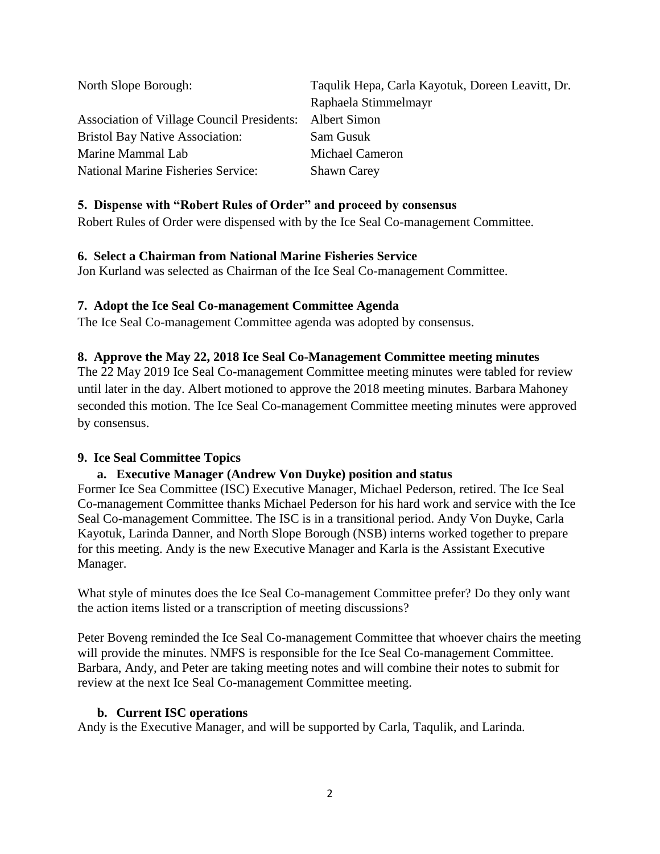| North Slope Borough:                                    | Taqulik Hepa, Carla Kayotuk, Doreen Leavitt, Dr. |
|---------------------------------------------------------|--------------------------------------------------|
|                                                         | Raphaela Stimmelmayr                             |
| Association of Village Council Presidents: Albert Simon |                                                  |
| <b>Bristol Bay Native Association:</b>                  | Sam Gusuk                                        |
| Marine Mammal Lab                                       | Michael Cameron                                  |
| <b>National Marine Fisheries Service:</b>               | <b>Shawn Carey</b>                               |

# **5. Dispense with "Robert Rules of Order" and proceed by consensus**

Robert Rules of Order were dispensed with by the Ice Seal Co-management Committee.

## **6. Select a Chairman from National Marine Fisheries Service**

Jon Kurland was selected as Chairman of the Ice Seal Co-management Committee.

# **7. Adopt the Ice Seal Co-management Committee Agenda**

The Ice Seal Co-management Committee agenda was adopted by consensus.

# **8. Approve the May 22, 2018 Ice Seal Co-Management Committee meeting minutes**

The 22 May 2019 Ice Seal Co-management Committee meeting minutes were tabled for review until later in the day. Albert motioned to approve the 2018 meeting minutes. Barbara Mahoney seconded this motion. The Ice Seal Co-management Committee meeting minutes were approved by consensus.

# **9. Ice Seal Committee Topics**

# **a. Executive Manager (Andrew Von Duyke) position and status**

Former Ice Sea Committee (ISC) Executive Manager, Michael Pederson, retired. The Ice Seal Co-management Committee thanks Michael Pederson for his hard work and service with the Ice Seal Co-management Committee. The ISC is in a transitional period. Andy Von Duyke, Carla Kayotuk, Larinda Danner, and North Slope Borough (NSB) interns worked together to prepare for this meeting. Andy is the new Executive Manager and Karla is the Assistant Executive Manager.

What style of minutes does the Ice Seal Co-management Committee prefer? Do they only want the action items listed or a transcription of meeting discussions?

Peter Boveng reminded the Ice Seal Co-management Committee that whoever chairs the meeting will provide the minutes. NMFS is responsible for the Ice Seal Co-management Committee. Barbara, Andy, and Peter are taking meeting notes and will combine their notes to submit for review at the next Ice Seal Co-management Committee meeting.

## **b. Current ISC operations**

Andy is the Executive Manager, and will be supported by Carla, Taqulik, and Larinda.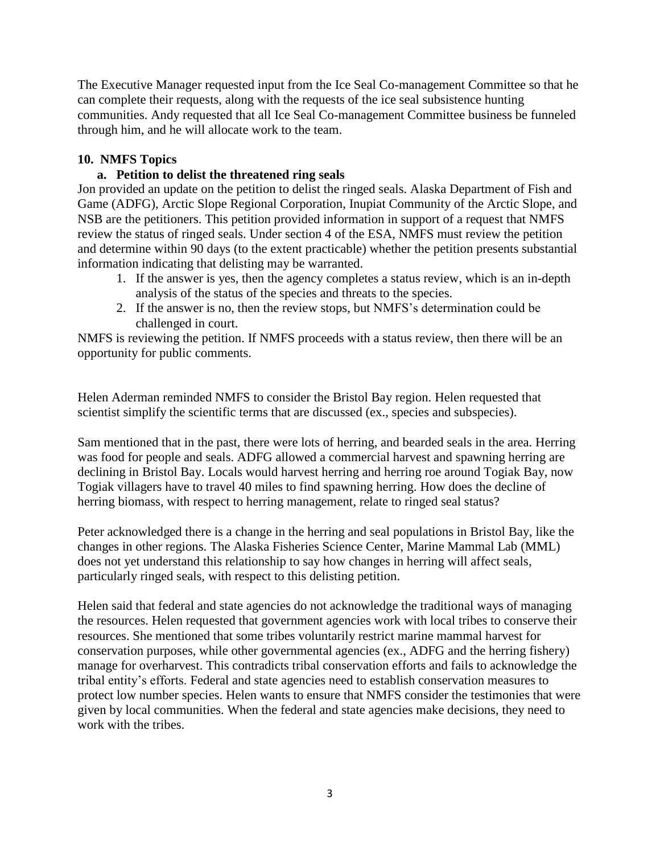The Executive Manager requested input from the Ice Seal Co-management Committee so that he can complete their requests, along with the requests of the ice seal subsistence hunting communities. Andy requested that all Ice Seal Co-management Committee business be funneled through him, and he will allocate work to the team.

# **10. NMFS Topics**

# **a. Petition to delist the threatened ring seals**

Jon provided an update on the petition to delist the ringed seals. Alaska Department of Fish and Game (ADFG), Arctic Slope Regional Corporation, Inupiat Community of the Arctic Slope, and NSB are the petitioners. This petition provided information in support of a request that NMFS review the status of ringed seals. Under section 4 of the ESA, NMFS must review the petition and determine within 90 days (to the extent practicable) whether the petition presents substantial information indicating that delisting may be warranted.

- 1. If the answer is yes, then the agency completes a status review, which is an in-depth analysis of the status of the species and threats to the species.
- 2. If the answer is no, then the review stops, but NMFS's determination could be challenged in court.

NMFS is reviewing the petition. If NMFS proceeds with a status review, then there will be an opportunity for public comments.

Helen Aderman reminded NMFS to consider the Bristol Bay region. Helen requested that scientist simplify the scientific terms that are discussed (ex., species and subspecies).

Sam mentioned that in the past, there were lots of herring, and bearded seals in the area. Herring was food for people and seals. ADFG allowed a commercial harvest and spawning herring are declining in Bristol Bay. Locals would harvest herring and herring roe around Togiak Bay, now Togiak villagers have to travel 40 miles to find spawning herring. How does the decline of herring biomass, with respect to herring management, relate to ringed seal status?

Peter acknowledged there is a change in the herring and seal populations in Bristol Bay, like the changes in other regions. The Alaska Fisheries Science Center, Marine Mammal Lab (MML) does not yet understand this relationship to say how changes in herring will affect seals, particularly ringed seals, with respect to this delisting petition.

Helen said that federal and state agencies do not acknowledge the traditional ways of managing the resources. Helen requested that government agencies work with local tribes to conserve their resources. She mentioned that some tribes voluntarily restrict marine mammal harvest for conservation purposes, while other governmental agencies (ex., ADFG and the herring fishery) manage for overharvest. This contradicts tribal conservation efforts and fails to acknowledge the tribal entity's efforts. Federal and state agencies need to establish conservation measures to protect low number species. Helen wants to ensure that NMFS consider the testimonies that were given by local communities. When the federal and state agencies make decisions, they need to work with the tribes.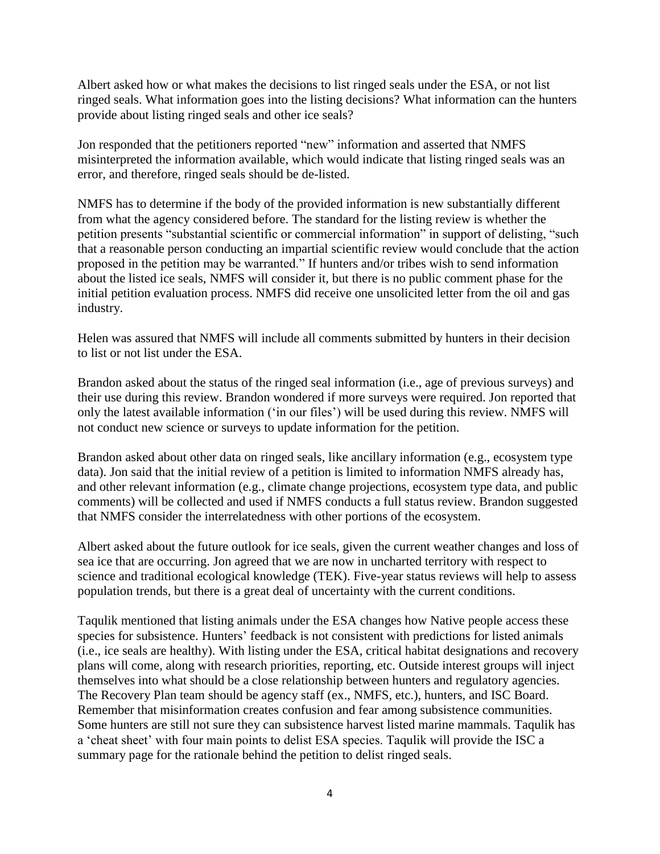Albert asked how or what makes the decisions to list ringed seals under the ESA, or not list ringed seals. What information goes into the listing decisions? What information can the hunters provide about listing ringed seals and other ice seals?

Jon responded that the petitioners reported "new" information and asserted that NMFS misinterpreted the information available, which would indicate that listing ringed seals was an error, and therefore, ringed seals should be de-listed.

NMFS has to determine if the body of the provided information is new substantially different from what the agency considered before. The standard for the listing review is whether the petition presents "substantial scientific or commercial information" in support of delisting, "such that a reasonable person conducting an impartial scientific review would conclude that the action proposed in the petition may be warranted." If hunters and/or tribes wish to send information about the listed ice seals, NMFS will consider it, but there is no public comment phase for the initial petition evaluation process. NMFS did receive one unsolicited letter from the oil and gas industry.

Helen was assured that NMFS will include all comments submitted by hunters in their decision to list or not list under the ESA.

Brandon asked about the status of the ringed seal information (i.e., age of previous surveys) and their use during this review. Brandon wondered if more surveys were required. Jon reported that only the latest available information ('in our files') will be used during this review. NMFS will not conduct new science or surveys to update information for the petition.

Brandon asked about other data on ringed seals, like ancillary information (e.g., ecosystem type data). Jon said that the initial review of a petition is limited to information NMFS already has, and other relevant information (e.g., climate change projections, ecosystem type data, and public comments) will be collected and used if NMFS conducts a full status review. Brandon suggested that NMFS consider the interrelatedness with other portions of the ecosystem.

Albert asked about the future outlook for ice seals, given the current weather changes and loss of sea ice that are occurring. Jon agreed that we are now in uncharted territory with respect to science and traditional ecological knowledge (TEK). Five-year status reviews will help to assess population trends, but there is a great deal of uncertainty with the current conditions.

Taqulik mentioned that listing animals under the ESA changes how Native people access these species for subsistence. Hunters' feedback is not consistent with predictions for listed animals (i.e., ice seals are healthy). With listing under the ESA, critical habitat designations and recovery plans will come, along with research priorities, reporting, etc. Outside interest groups will inject themselves into what should be a close relationship between hunters and regulatory agencies. The Recovery Plan team should be agency staff (ex., NMFS, etc.), hunters, and ISC Board. Remember that misinformation creates confusion and fear among subsistence communities. Some hunters are still not sure they can subsistence harvest listed marine mammals. Taqulik has a 'cheat sheet' with four main points to delist ESA species. Taqulik will provide the ISC a summary page for the rationale behind the petition to delist ringed seals.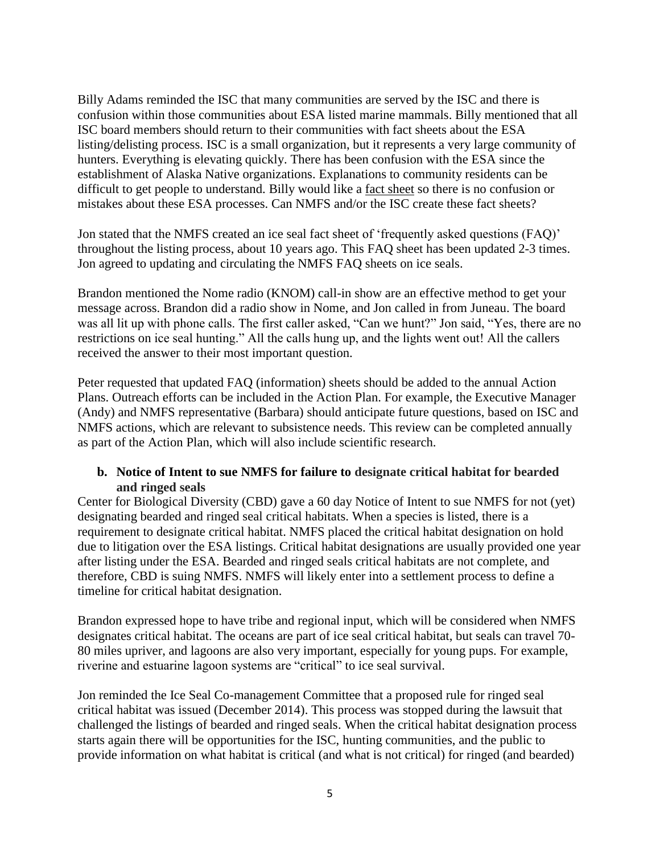Billy Adams reminded the ISC that many communities are served by the ISC and there is confusion within those communities about ESA listed marine mammals. Billy mentioned that all ISC board members should return to their communities with fact sheets about the ESA listing/delisting process. ISC is a small organization, but it represents a very large community of hunters. Everything is elevating quickly. There has been confusion with the ESA since the establishment of Alaska Native organizations. Explanations to community residents can be difficult to get people to understand. Billy would like a fact sheet so there is no confusion or mistakes about these ESA processes. Can NMFS and/or the ISC create these fact sheets?

Jon stated that the NMFS created an ice seal fact sheet of 'frequently asked questions (FAQ)' throughout the listing process, about 10 years ago. This FAQ sheet has been updated 2-3 times. Jon agreed to updating and circulating the NMFS FAQ sheets on ice seals.

Brandon mentioned the Nome radio (KNOM) call-in show are an effective method to get your message across. Brandon did a radio show in Nome, and Jon called in from Juneau. The board was all lit up with phone calls. The first caller asked, "Can we hunt?" Jon said, "Yes, there are no restrictions on ice seal hunting." All the calls hung up, and the lights went out! All the callers received the answer to their most important question.

Peter requested that updated FAQ (information) sheets should be added to the annual Action Plans. Outreach efforts can be included in the Action Plan. For example, the Executive Manager (Andy) and NMFS representative (Barbara) should anticipate future questions, based on ISC and NMFS actions, which are relevant to subsistence needs. This review can be completed annually as part of the Action Plan, which will also include scientific research.

# **b. Notice of Intent to sue NMFS for failure to designate critical habitat for bearded and ringed seals**

Center for Biological Diversity (CBD) gave a 60 day Notice of Intent to sue NMFS for not (yet) designating bearded and ringed seal critical habitats. When a species is listed, there is a requirement to designate critical habitat. NMFS placed the critical habitat designation on hold due to litigation over the ESA listings. Critical habitat designations are usually provided one year after listing under the ESA. Bearded and ringed seals critical habitats are not complete, and therefore, CBD is suing NMFS. NMFS will likely enter into a settlement process to define a timeline for critical habitat designation.

Brandon expressed hope to have tribe and regional input, which will be considered when NMFS designates critical habitat. The oceans are part of ice seal critical habitat, but seals can travel 70- 80 miles upriver, and lagoons are also very important, especially for young pups. For example, riverine and estuarine lagoon systems are "critical" to ice seal survival.

Jon reminded the Ice Seal Co-management Committee that a proposed rule for ringed seal critical habitat was issued (December 2014). This process was stopped during the lawsuit that challenged the listings of bearded and ringed seals. When the critical habitat designation process starts again there will be opportunities for the ISC, hunting communities, and the public to provide information on what habitat is critical (and what is not critical) for ringed (and bearded)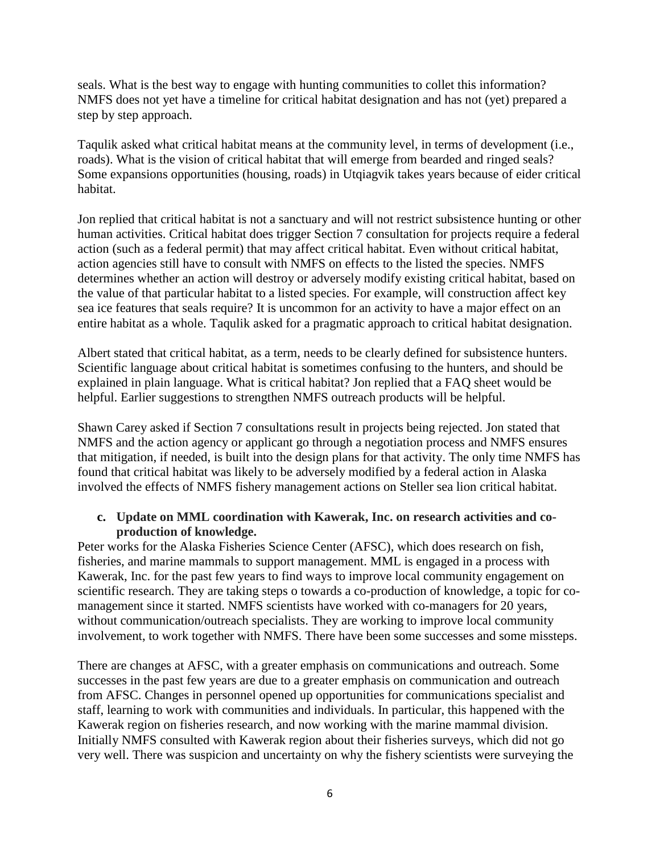seals. What is the best way to engage with hunting communities to collet this information? NMFS does not yet have a timeline for critical habitat designation and has not (yet) prepared a step by step approach.

Taqulik asked what critical habitat means at the community level, in terms of development (i.e., roads). What is the vision of critical habitat that will emerge from bearded and ringed seals? Some expansions opportunities (housing, roads) in Utqiagvik takes years because of eider critical habitat.

Jon replied that critical habitat is not a sanctuary and will not restrict subsistence hunting or other human activities. Critical habitat does trigger Section 7 consultation for projects require a federal action (such as a federal permit) that may affect critical habitat. Even without critical habitat, action agencies still have to consult with NMFS on effects to the listed the species. NMFS determines whether an action will destroy or adversely modify existing critical habitat, based on the value of that particular habitat to a listed species. For example, will construction affect key sea ice features that seals require? It is uncommon for an activity to have a major effect on an entire habitat as a whole. Taqulik asked for a pragmatic approach to critical habitat designation.

Albert stated that critical habitat, as a term, needs to be clearly defined for subsistence hunters. Scientific language about critical habitat is sometimes confusing to the hunters, and should be explained in plain language. What is critical habitat? Jon replied that a FAQ sheet would be helpful. Earlier suggestions to strengthen NMFS outreach products will be helpful.

Shawn Carey asked if Section 7 consultations result in projects being rejected. Jon stated that NMFS and the action agency or applicant go through a negotiation process and NMFS ensures that mitigation, if needed, is built into the design plans for that activity. The only time NMFS has found that critical habitat was likely to be adversely modified by a federal action in Alaska involved the effects of NMFS fishery management actions on Steller sea lion critical habitat.

## **c. Update on MML coordination with Kawerak, Inc. on research activities and coproduction of knowledge.**

Peter works for the Alaska Fisheries Science Center (AFSC), which does research on fish, fisheries, and marine mammals to support management. MML is engaged in a process with Kawerak, Inc. for the past few years to find ways to improve local community engagement on scientific research. They are taking steps o towards a co-production of knowledge, a topic for comanagement since it started. NMFS scientists have worked with co-managers for 20 years, without communication/outreach specialists. They are working to improve local community involvement, to work together with NMFS. There have been some successes and some missteps.

There are changes at AFSC, with a greater emphasis on communications and outreach. Some successes in the past few years are due to a greater emphasis on communication and outreach from AFSC. Changes in personnel opened up opportunities for communications specialist and staff, learning to work with communities and individuals. In particular, this happened with the Kawerak region on fisheries research, and now working with the marine mammal division. Initially NMFS consulted with Kawerak region about their fisheries surveys, which did not go very well. There was suspicion and uncertainty on why the fishery scientists were surveying the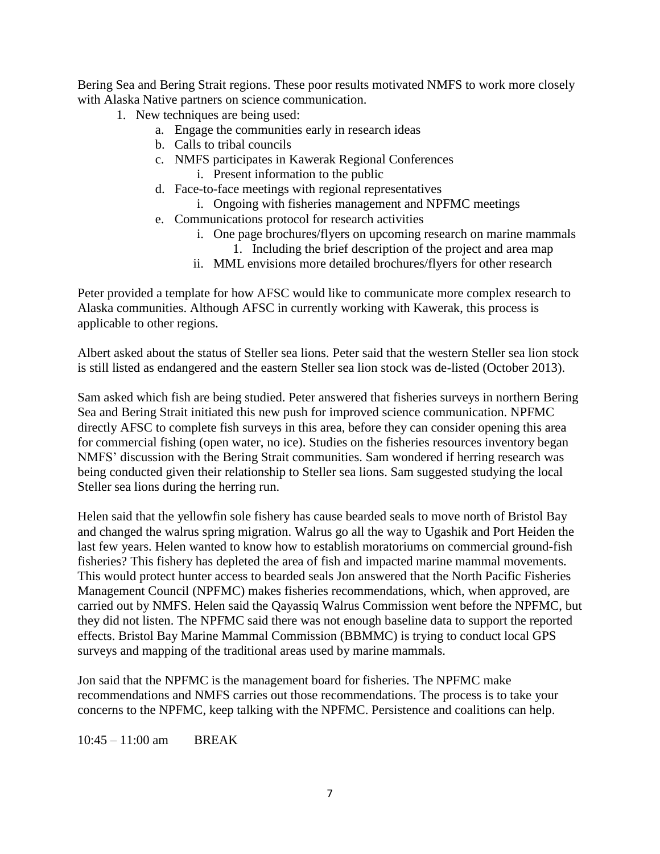Bering Sea and Bering Strait regions. These poor results motivated NMFS to work more closely with Alaska Native partners on science communication.

- 1. New techniques are being used:
	- a. Engage the communities early in research ideas
	- b. Calls to tribal councils
	- c. NMFS participates in Kawerak Regional Conferences i. Present information to the public
	- d. Face-to-face meetings with regional representatives
		- i. Ongoing with fisheries management and NPFMC meetings
	- e. Communications protocol for research activities
		- i. One page brochures/flyers on upcoming research on marine mammals 1. Including the brief description of the project and area map
		- ii. MML envisions more detailed brochures/flyers for other research

Peter provided a template for how AFSC would like to communicate more complex research to Alaska communities. Although AFSC in currently working with Kawerak, this process is applicable to other regions.

Albert asked about the status of Steller sea lions. Peter said that the western Steller sea lion stock is still listed as endangered and the eastern Steller sea lion stock was de-listed (October 2013).

Sam asked which fish are being studied. Peter answered that fisheries surveys in northern Bering Sea and Bering Strait initiated this new push for improved science communication. NPFMC directly AFSC to complete fish surveys in this area, before they can consider opening this area for commercial fishing (open water, no ice). Studies on the fisheries resources inventory began NMFS' discussion with the Bering Strait communities. Sam wondered if herring research was being conducted given their relationship to Steller sea lions. Sam suggested studying the local Steller sea lions during the herring run.

Helen said that the yellowfin sole fishery has cause bearded seals to move north of Bristol Bay and changed the walrus spring migration. Walrus go all the way to Ugashik and Port Heiden the last few years. Helen wanted to know how to establish moratoriums on commercial ground-fish fisheries? This fishery has depleted the area of fish and impacted marine mammal movements. This would protect hunter access to bearded seals Jon answered that the North Pacific Fisheries Management Council (NPFMC) makes fisheries recommendations, which, when approved, are carried out by NMFS. Helen said the Qayassiq Walrus Commission went before the NPFMC, but they did not listen. The NPFMC said there was not enough baseline data to support the reported effects. Bristol Bay Marine Mammal Commission (BBMMC) is trying to conduct local GPS surveys and mapping of the traditional areas used by marine mammals.

Jon said that the NPFMC is the management board for fisheries. The NPFMC make recommendations and NMFS carries out those recommendations. The process is to take your concerns to the NPFMC, keep talking with the NPFMC. Persistence and coalitions can help.

10:45 – 11:00 am BREAK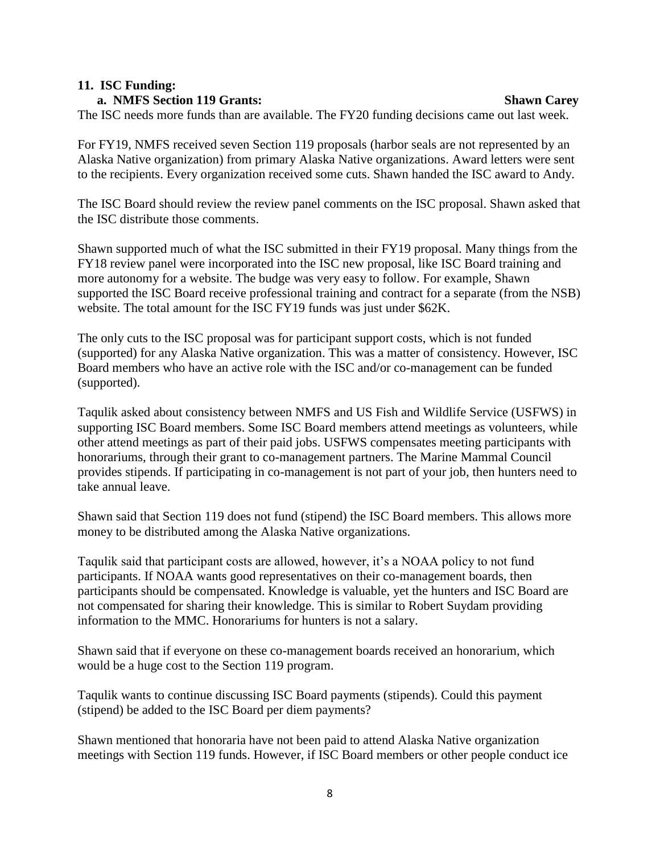#### **11. ISC Funding:**

#### **a. NMFS Section 119 Grants: Shawn Carey**

The ISC needs more funds than are available. The FY20 funding decisions came out last week.

For FY19, NMFS received seven Section 119 proposals (harbor seals are not represented by an Alaska Native organization) from primary Alaska Native organizations. Award letters were sent to the recipients. Every organization received some cuts. Shawn handed the ISC award to Andy.

The ISC Board should review the review panel comments on the ISC proposal. Shawn asked that the ISC distribute those comments.

Shawn supported much of what the ISC submitted in their FY19 proposal. Many things from the FY18 review panel were incorporated into the ISC new proposal, like ISC Board training and more autonomy for a website. The budge was very easy to follow. For example, Shawn supported the ISC Board receive professional training and contract for a separate (from the NSB) website. The total amount for the ISC FY19 funds was just under \$62K.

The only cuts to the ISC proposal was for participant support costs, which is not funded (supported) for any Alaska Native organization. This was a matter of consistency. However, ISC Board members who have an active role with the ISC and/or co-management can be funded (supported).

Taqulik asked about consistency between NMFS and US Fish and Wildlife Service (USFWS) in supporting ISC Board members. Some ISC Board members attend meetings as volunteers, while other attend meetings as part of their paid jobs. USFWS compensates meeting participants with honorariums, through their grant to co-management partners. The Marine Mammal Council provides stipends. If participating in co-management is not part of your job, then hunters need to take annual leave.

Shawn said that Section 119 does not fund (stipend) the ISC Board members. This allows more money to be distributed among the Alaska Native organizations.

Taqulik said that participant costs are allowed, however, it's a NOAA policy to not fund participants. If NOAA wants good representatives on their co-management boards, then participants should be compensated. Knowledge is valuable, yet the hunters and ISC Board are not compensated for sharing their knowledge. This is similar to Robert Suydam providing information to the MMC. Honorariums for hunters is not a salary.

Shawn said that if everyone on these co-management boards received an honorarium, which would be a huge cost to the Section 119 program.

Taqulik wants to continue discussing ISC Board payments (stipends). Could this payment (stipend) be added to the ISC Board per diem payments?

Shawn mentioned that honoraria have not been paid to attend Alaska Native organization meetings with Section 119 funds. However, if ISC Board members or other people conduct ice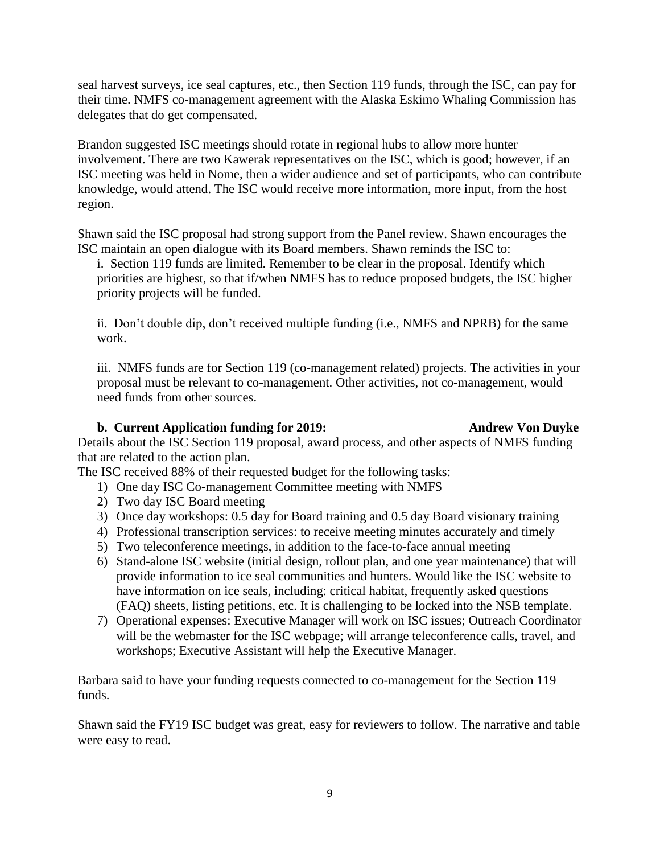seal harvest surveys, ice seal captures, etc., then Section 119 funds, through the ISC, can pay for their time. NMFS co-management agreement with the Alaska Eskimo Whaling Commission has delegates that do get compensated.

Brandon suggested ISC meetings should rotate in regional hubs to allow more hunter involvement. There are two Kawerak representatives on the ISC, which is good; however, if an ISC meeting was held in Nome, then a wider audience and set of participants, who can contribute knowledge, would attend. The ISC would receive more information, more input, from the host region.

Shawn said the ISC proposal had strong support from the Panel review. Shawn encourages the ISC maintain an open dialogue with its Board members. Shawn reminds the ISC to:

i. Section 119 funds are limited. Remember to be clear in the proposal. Identify which priorities are highest, so that if/when NMFS has to reduce proposed budgets, the ISC higher priority projects will be funded.

ii. Don't double dip, don't received multiple funding (i.e., NMFS and NPRB) for the same work.

iii. NMFS funds are for Section 119 (co-management related) projects. The activities in your proposal must be relevant to co-management. Other activities, not co-management, would need funds from other sources.

# **b. Current Application funding for 2019: Andrew Von Duyke**

Details about the ISC Section 119 proposal, award process, and other aspects of NMFS funding that are related to the action plan.

The ISC received 88% of their requested budget for the following tasks:

- 1) One day ISC Co-management Committee meeting with NMFS
- 2) Two day ISC Board meeting
- 3) Once day workshops: 0.5 day for Board training and 0.5 day Board visionary training
- 4) Professional transcription services: to receive meeting minutes accurately and timely
- 5) Two teleconference meetings, in addition to the face-to-face annual meeting
- 6) Stand-alone ISC website (initial design, rollout plan, and one year maintenance) that will provide information to ice seal communities and hunters. Would like the ISC website to have information on ice seals, including: critical habitat, frequently asked questions (FAQ) sheets, listing petitions, etc. It is challenging to be locked into the NSB template.
- 7) Operational expenses: Executive Manager will work on ISC issues; Outreach Coordinator will be the webmaster for the ISC webpage; will arrange teleconference calls, travel, and workshops; Executive Assistant will help the Executive Manager.

Barbara said to have your funding requests connected to co-management for the Section 119 funds.

Shawn said the FY19 ISC budget was great, easy for reviewers to follow. The narrative and table were easy to read.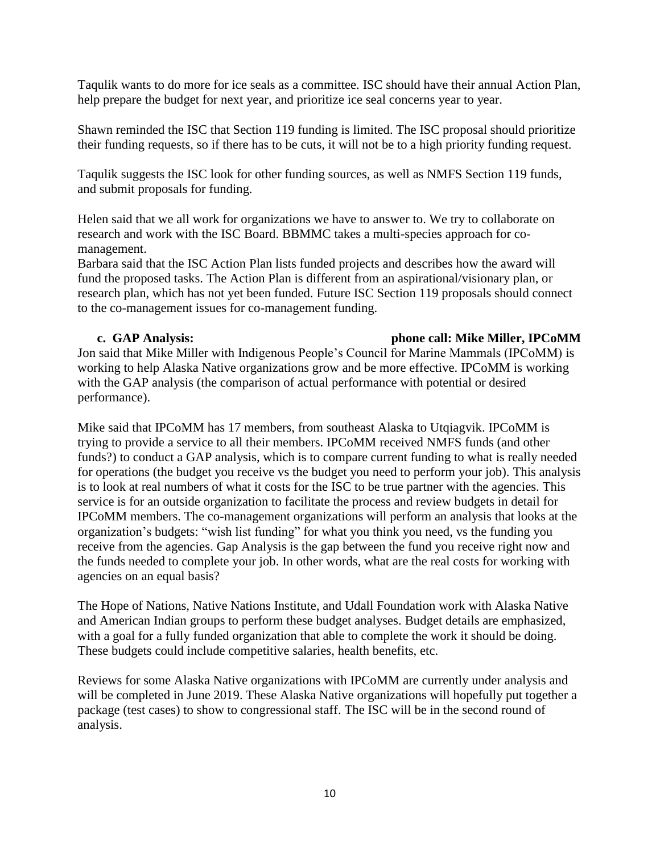Taqulik wants to do more for ice seals as a committee. ISC should have their annual Action Plan, help prepare the budget for next year, and prioritize ice seal concerns year to year.

Shawn reminded the ISC that Section 119 funding is limited. The ISC proposal should prioritize their funding requests, so if there has to be cuts, it will not be to a high priority funding request.

Taqulik suggests the ISC look for other funding sources, as well as NMFS Section 119 funds, and submit proposals for funding.

Helen said that we all work for organizations we have to answer to. We try to collaborate on research and work with the ISC Board. BBMMC takes a multi-species approach for comanagement.

Barbara said that the ISC Action Plan lists funded projects and describes how the award will fund the proposed tasks. The Action Plan is different from an aspirational/visionary plan, or research plan, which has not yet been funded. Future ISC Section 119 proposals should connect to the co-management issues for co-management funding.

## **c. GAP Analysis: phone call: Mike Miller, IPCoMM**

Jon said that Mike Miller with Indigenous People's Council for Marine Mammals (IPCoMM) is working to help Alaska Native organizations grow and be more effective. IPCoMM is working with the GAP analysis (the comparison of actual performance with potential or desired performance).

Mike said that IPCoMM has 17 members, from southeast Alaska to Utqiagvik. IPCoMM is trying to provide a service to all their members. IPCoMM received NMFS funds (and other funds?) to conduct a GAP analysis, which is to compare current funding to what is really needed for operations (the budget you receive vs the budget you need to perform your job). This analysis is to look at real numbers of what it costs for the ISC to be true partner with the agencies. This service is for an outside organization to facilitate the process and review budgets in detail for IPCoMM members. The co-management organizations will perform an analysis that looks at the organization's budgets: "wish list funding" for what you think you need, vs the funding you receive from the agencies. Gap Analysis is the gap between the fund you receive right now and the funds needed to complete your job. In other words, what are the real costs for working with agencies on an equal basis?

The Hope of Nations, Native Nations Institute, and Udall Foundation work with Alaska Native and American Indian groups to perform these budget analyses. Budget details are emphasized, with a goal for a fully funded organization that able to complete the work it should be doing. These budgets could include competitive salaries, health benefits, etc.

Reviews for some Alaska Native organizations with IPCoMM are currently under analysis and will be completed in June 2019. These Alaska Native organizations will hopefully put together a package (test cases) to show to congressional staff. The ISC will be in the second round of analysis.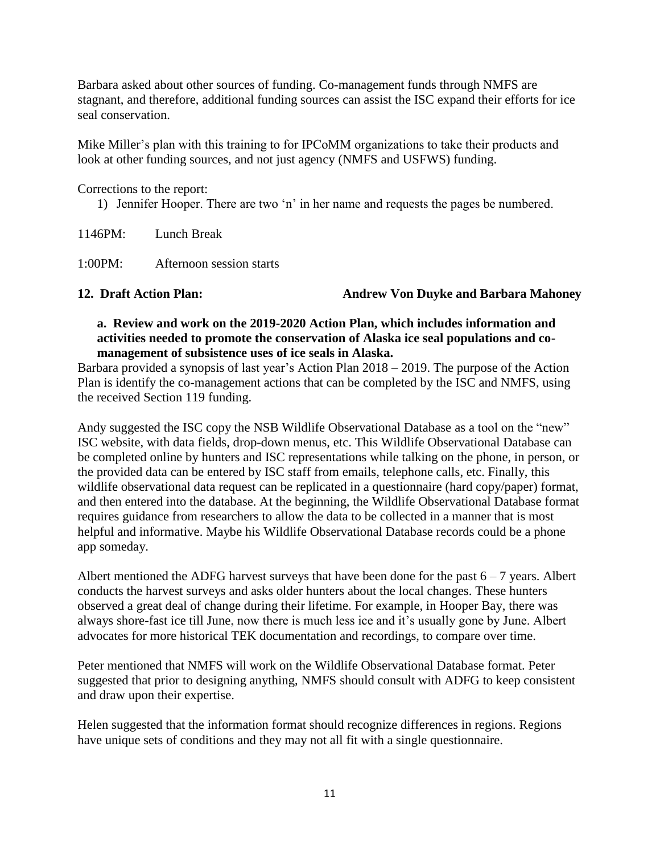Barbara asked about other sources of funding. Co-management funds through NMFS are stagnant, and therefore, additional funding sources can assist the ISC expand their efforts for ice seal conservation.

Mike Miller's plan with this training to for IPCoMM organizations to take their products and look at other funding sources, and not just agency (NMFS and USFWS) funding.

Corrections to the report:

1) Jennifer Hooper. There are two 'n' in her name and requests the pages be numbered.

1146PM: Lunch Break

1:00PM: Afternoon session starts

**12. Draft Action Plan: Andrew Von Duyke and Barbara Mahoney**

# **a. Review and work on the 2019-2020 Action Plan, which includes information and activities needed to promote the conservation of Alaska ice seal populations and comanagement of subsistence uses of ice seals in Alaska.**

Barbara provided a synopsis of last year's Action Plan 2018 – 2019. The purpose of the Action Plan is identify the co-management actions that can be completed by the ISC and NMFS, using the received Section 119 funding.

Andy suggested the ISC copy the NSB Wildlife Observational Database as a tool on the "new" ISC website, with data fields, drop-down menus, etc. This Wildlife Observational Database can be completed online by hunters and ISC representations while talking on the phone, in person, or the provided data can be entered by ISC staff from emails, telephone calls, etc. Finally, this wildlife observational data request can be replicated in a questionnaire (hard copy/paper) format, and then entered into the database. At the beginning, the Wildlife Observational Database format requires guidance from researchers to allow the data to be collected in a manner that is most helpful and informative. Maybe his Wildlife Observational Database records could be a phone app someday.

Albert mentioned the ADFG harvest surveys that have been done for the past  $6 - 7$  years. Albert conducts the harvest surveys and asks older hunters about the local changes. These hunters observed a great deal of change during their lifetime. For example, in Hooper Bay, there was always shore-fast ice till June, now there is much less ice and it's usually gone by June. Albert advocates for more historical TEK documentation and recordings, to compare over time.

Peter mentioned that NMFS will work on the Wildlife Observational Database format. Peter suggested that prior to designing anything, NMFS should consult with ADFG to keep consistent and draw upon their expertise.

Helen suggested that the information format should recognize differences in regions. Regions have unique sets of conditions and they may not all fit with a single questionnaire.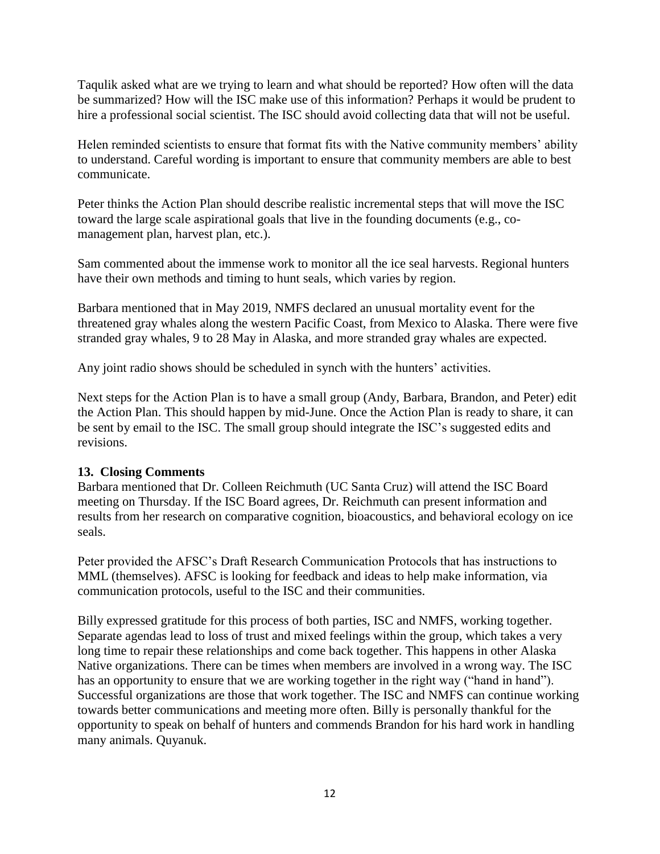Taqulik asked what are we trying to learn and what should be reported? How often will the data be summarized? How will the ISC make use of this information? Perhaps it would be prudent to hire a professional social scientist. The ISC should avoid collecting data that will not be useful.

Helen reminded scientists to ensure that format fits with the Native community members' ability to understand. Careful wording is important to ensure that community members are able to best communicate.

Peter thinks the Action Plan should describe realistic incremental steps that will move the ISC toward the large scale aspirational goals that live in the founding documents (e.g., comanagement plan, harvest plan, etc.).

Sam commented about the immense work to monitor all the ice seal harvests. Regional hunters have their own methods and timing to hunt seals, which varies by region.

Barbara mentioned that in May 2019, NMFS declared an unusual mortality event for the threatened gray whales along the western Pacific Coast, from Mexico to Alaska. There were five stranded gray whales, 9 to 28 May in Alaska, and more stranded gray whales are expected.

Any joint radio shows should be scheduled in synch with the hunters' activities.

Next steps for the Action Plan is to have a small group (Andy, Barbara, Brandon, and Peter) edit the Action Plan. This should happen by mid-June. Once the Action Plan is ready to share, it can be sent by email to the ISC. The small group should integrate the ISC's suggested edits and revisions.

## **13. Closing Comments**

Barbara mentioned that Dr. Colleen Reichmuth (UC Santa Cruz) will attend the ISC Board meeting on Thursday. If the ISC Board agrees, Dr. Reichmuth can present information and results from her research on comparative cognition, bioacoustics, and behavioral ecology on ice seals.

Peter provided the AFSC's Draft Research Communication Protocols that has instructions to MML (themselves). AFSC is looking for feedback and ideas to help make information, via communication protocols, useful to the ISC and their communities.

Billy expressed gratitude for this process of both parties, ISC and NMFS, working together. Separate agendas lead to loss of trust and mixed feelings within the group, which takes a very long time to repair these relationships and come back together. This happens in other Alaska Native organizations. There can be times when members are involved in a wrong way. The ISC has an opportunity to ensure that we are working together in the right way ("hand in hand"). Successful organizations are those that work together. The ISC and NMFS can continue working towards better communications and meeting more often. Billy is personally thankful for the opportunity to speak on behalf of hunters and commends Brandon for his hard work in handling many animals. Quyanuk.